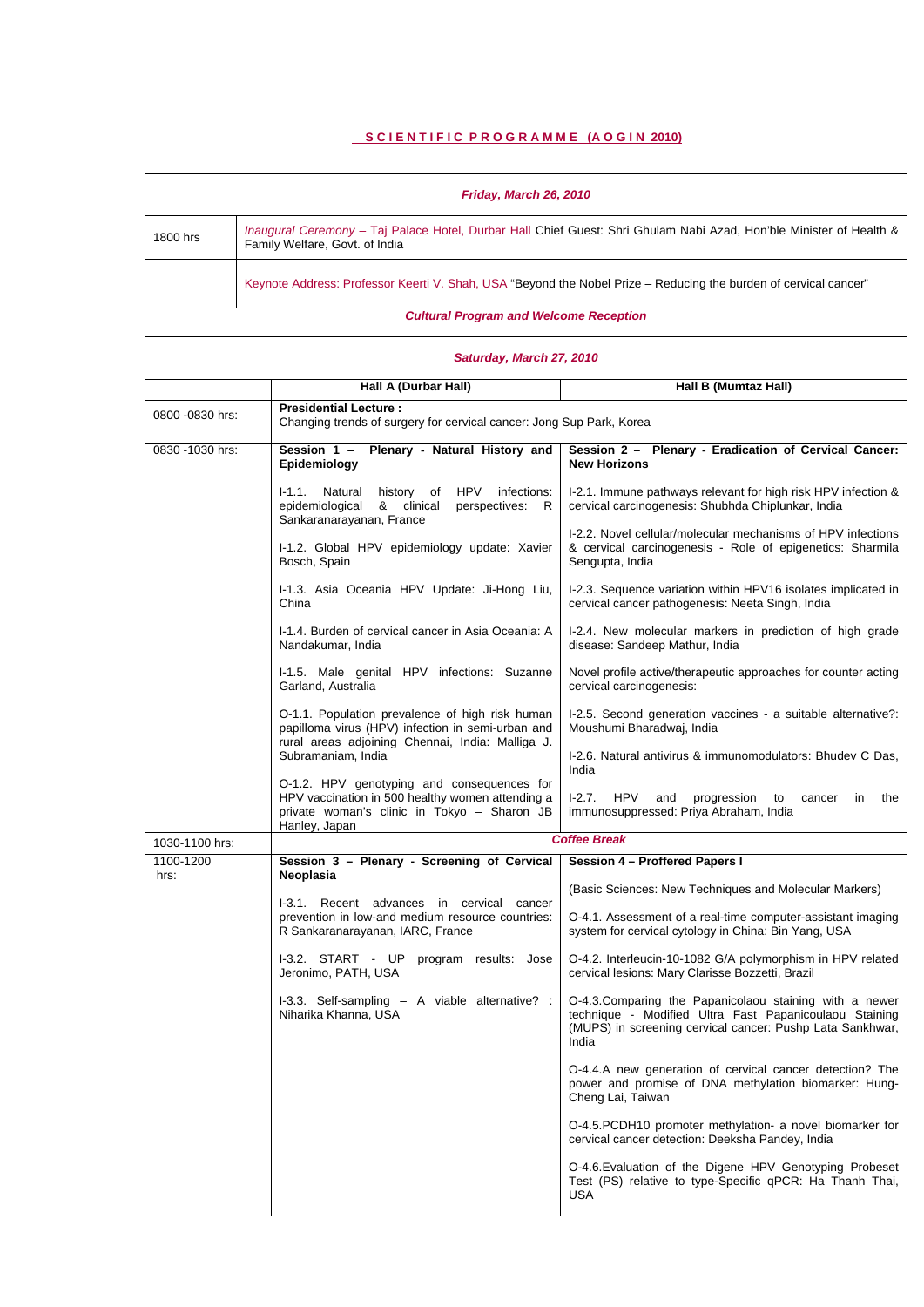# **SCIENTIFIC PROGRAMME (AOGIN 2010)**

| Friday, March 26, 2010                                                                            |                                                                                                                                                                |                                                                                                                                                                                         |  |  |
|---------------------------------------------------------------------------------------------------|----------------------------------------------------------------------------------------------------------------------------------------------------------------|-----------------------------------------------------------------------------------------------------------------------------------------------------------------------------------------|--|--|
| 1800 hrs                                                                                          | Inaugural Ceremony - Taj Palace Hotel, Durbar Hall Chief Guest: Shri Ghulam Nabi Azad, Hon'ble Minister of Health &<br>Family Welfare, Govt. of India          |                                                                                                                                                                                         |  |  |
|                                                                                                   | Keynote Address: Professor Keerti V. Shah, USA "Beyond the Nobel Prize - Reducing the burden of cervical cancer"                                               |                                                                                                                                                                                         |  |  |
|                                                                                                   | <b>Cultural Program and Welcome Reception</b>                                                                                                                  |                                                                                                                                                                                         |  |  |
|                                                                                                   | Saturday, March 27, 2010                                                                                                                                       |                                                                                                                                                                                         |  |  |
|                                                                                                   | Hall A (Durbar Hall)<br>Hall B (Mumtaz Hall)                                                                                                                   |                                                                                                                                                                                         |  |  |
|                                                                                                   | <b>Presidential Lecture:</b><br>0800 -0830 hrs:<br>Changing trends of surgery for cervical cancer: Jong Sup Park, Korea                                        |                                                                                                                                                                                         |  |  |
| 0830 -1030 hrs:                                                                                   | Session 1 - Plenary - Natural History and<br>Epidemiology                                                                                                      | Session 2 - Plenary - Eradication of Cervical Cancer:<br><b>New Horizons</b>                                                                                                            |  |  |
|                                                                                                   | history of HPV<br>I-1.1. Natural<br>infections:<br>epidemiological<br>& clinical<br>perspectives:<br>R<br>Sankaranarayanan, France                             | I-2.1. Immune pathways relevant for high risk HPV infection &<br>cervical carcinogenesis: Shubhda Chiplunkar, India                                                                     |  |  |
|                                                                                                   | I-1.2. Global HPV epidemiology update: Xavier<br>Bosch, Spain                                                                                                  | I-2.2. Novel cellular/molecular mechanisms of HPV infections<br>& cervical carcinogenesis - Role of epigenetics: Sharmila<br>Sengupta, India                                            |  |  |
|                                                                                                   | I-1.3. Asia Oceania HPV Update: Ji-Hong Liu,<br>China                                                                                                          | I-2.3. Sequence variation within HPV16 isolates implicated in<br>cervical cancer pathogenesis: Neeta Singh, India                                                                       |  |  |
|                                                                                                   | I-1.4. Burden of cervical cancer in Asia Oceania: A<br>Nandakumar, India                                                                                       | I-2.4. New molecular markers in prediction of high grade<br>disease: Sandeep Mathur, India                                                                                              |  |  |
|                                                                                                   | I-1.5. Male genital HPV infections: Suzanne<br>Garland, Australia                                                                                              | Novel profile active/therapeutic approaches for counter acting<br>cervical carcinogenesis:                                                                                              |  |  |
|                                                                                                   | O-1.1. Population prevalence of high risk human<br>papilloma virus (HPV) infection in semi-urban and<br>rural areas adjoining Chennai, India: Malliga J.       | I-2.5. Second generation vaccines - a suitable alternative?:<br>Moushumi Bharadwaj, India                                                                                               |  |  |
|                                                                                                   | Subramaniam, India                                                                                                                                             | I-2.6. Natural antivirus & immunomodulators: Bhudev C Das,<br>India                                                                                                                     |  |  |
|                                                                                                   | O-1.2. HPV genotyping and consequences for<br>HPV vaccination in 500 healthy women attending a<br>private woman's clinic in Tokyo - Sharon JB<br>Hanley, Japan | $1-2.7.$<br>HPV<br>progression<br>and<br>to<br>in<br>the<br>cancer<br>immunosuppressed: Priya Abraham, India                                                                            |  |  |
| <b>Coffee Break</b><br>1030-1100 hrs:                                                             |                                                                                                                                                                |                                                                                                                                                                                         |  |  |
| Session 3 - Plenary - Screening of Cervical   Session 4 - Proffered Papers I<br>1100-1200<br>hrs: |                                                                                                                                                                |                                                                                                                                                                                         |  |  |
|                                                                                                   | Neoplasia<br>I-3.1. Recent advances in cervical cancer<br>prevention in low-and medium resource countries:<br>R Sankaranarayanan, IARC, France                 | (Basic Sciences: New Techniques and Molecular Markers)                                                                                                                                  |  |  |
|                                                                                                   |                                                                                                                                                                | O-4.1. Assessment of a real-time computer-assistant imaging<br>system for cervical cytology in China: Bin Yang, USA                                                                     |  |  |
|                                                                                                   | I-3.2. START - UP program results: Jose<br>Jeronimo, PATH, USA                                                                                                 | O-4.2. Interleucin-10-1082 G/A polymorphism in HPV related<br>cervical lesions: Mary Clarisse Bozzetti, Brazil                                                                          |  |  |
|                                                                                                   | I-3.3. Self-sampling - A viable alternative? :<br>Niharika Khanna, USA                                                                                         | O-4.3. Comparing the Papanicolaou staining with a newer<br>technique - Modified Ultra Fast Papanicoulaou Staining<br>(MUPS) in screening cervical cancer: Pushp Lata Sankhwar,<br>India |  |  |
|                                                                                                   |                                                                                                                                                                | O-4.4.A new generation of cervical cancer detection? The<br>power and promise of DNA methylation biomarker: Hung-<br>Cheng Lai, Taiwan                                                  |  |  |
|                                                                                                   |                                                                                                                                                                | O-4.5. PCDH10 promoter methylation- a novel biomarker for<br>cervical cancer detection: Deeksha Pandey, India                                                                           |  |  |
|                                                                                                   |                                                                                                                                                                | O-4.6. Evaluation of the Digene HPV Genotyping Probeset<br>Test (PS) relative to type-Specific qPCR: Ha Thanh Thai,<br>USA                                                              |  |  |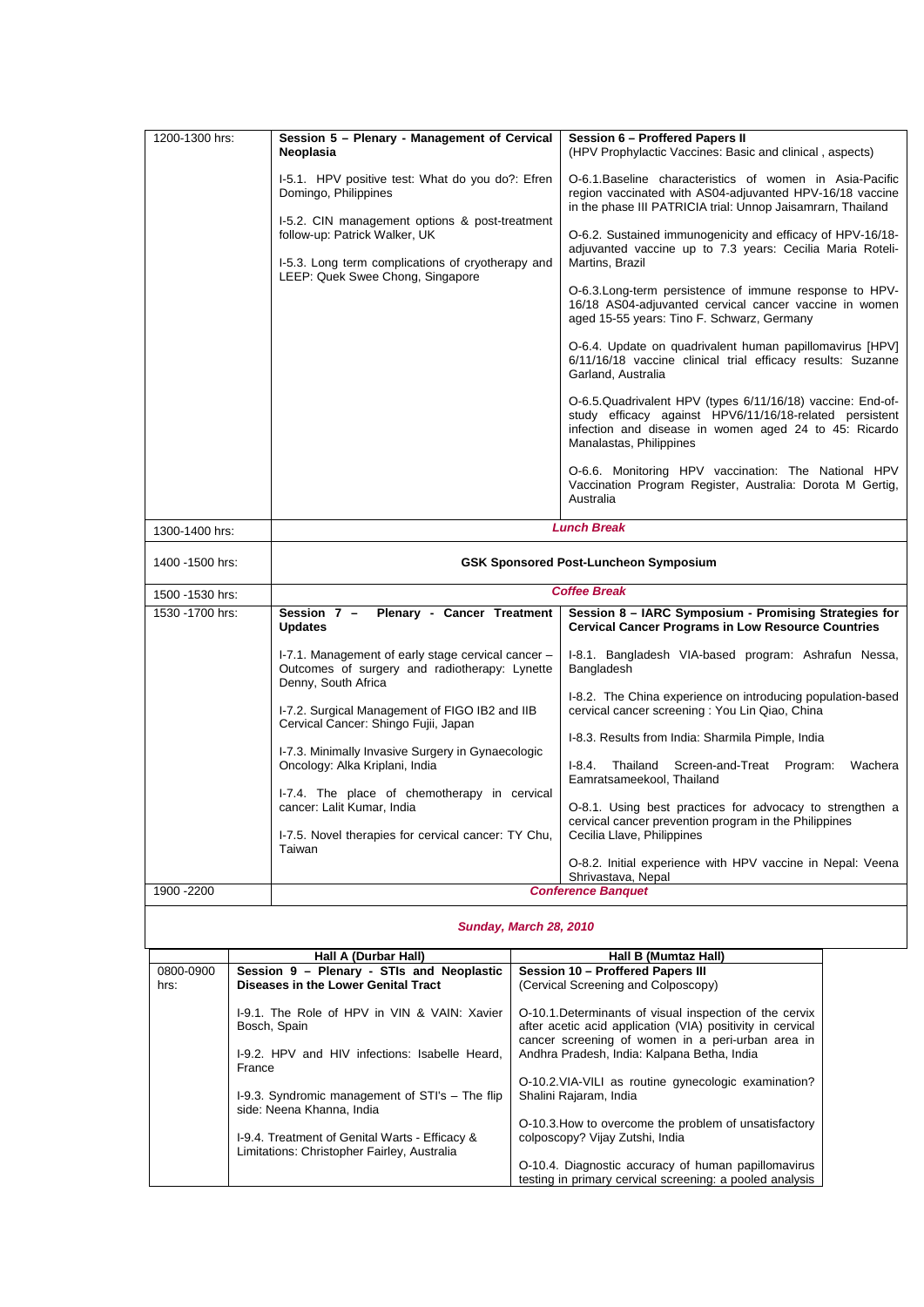| 1200-1300 hrs:   | Session 5 - Plenary - Management of Cervical<br>Neoplasia                                                                            | Session 6 - Proffered Papers II<br>(HPV Prophylactic Vaccines: Basic and clinical, aspects)                                                                                                                |  |
|------------------|--------------------------------------------------------------------------------------------------------------------------------------|------------------------------------------------------------------------------------------------------------------------------------------------------------------------------------------------------------|--|
|                  | I-5.1. HPV positive test: What do you do?: Efren<br>Domingo, Philippines                                                             | O-6.1. Baseline characteristics of women in Asia-Pacific<br>region vaccinated with AS04-adjuvanted HPV-16/18 vaccine<br>in the phase III PATRICIA trial: Unnop Jaisamrarn, Thailand                        |  |
|                  | I-5.2. CIN management options & post-treatment<br>follow-up: Patrick Walker, UK<br>I-5.3. Long term complications of cryotherapy and | O-6.2. Sustained immunogenicity and efficacy of HPV-16/18-<br>adjuvanted vaccine up to 7.3 years: Cecilia Maria Roteli-<br>Martins, Brazil                                                                 |  |
|                  | LEEP: Quek Swee Chong, Singapore                                                                                                     | O-6.3. Long-term persistence of immune response to HPV-<br>16/18 AS04-adjuvanted cervical cancer vaccine in women<br>aged 15-55 years: Tino F. Schwarz, Germany                                            |  |
|                  |                                                                                                                                      | O-6.4. Update on quadrivalent human papillomavirus [HPV]<br>6/11/16/18 vaccine clinical trial efficacy results: Suzanne<br>Garland, Australia                                                              |  |
|                  |                                                                                                                                      | O-6.5. Quadrivalent HPV (types 6/11/16/18) vaccine: End-of-<br>study efficacy against HPV6/11/16/18-related persistent<br>infection and disease in women aged 24 to 45: Ricardo<br>Manalastas, Philippines |  |
|                  |                                                                                                                                      | O-6.6. Monitoring HPV vaccination: The National HPV<br>Vaccination Program Register, Australia: Dorota M Gertig,<br>Australia                                                                              |  |
| 1300-1400 hrs:   |                                                                                                                                      | <b>Lunch Break</b>                                                                                                                                                                                         |  |
| 1400 -1500 hrs:  | <b>GSK Sponsored Post-Luncheon Symposium</b>                                                                                         |                                                                                                                                                                                                            |  |
| 1500 - 1530 hrs: | <b>Coffee Break</b>                                                                                                                  |                                                                                                                                                                                                            |  |
| 1530 - 1700 hrs: | Session 7 -<br>Plenary - Cancer Treatment<br><b>Updates</b>                                                                          | Session 8 - IARC Symposium - Promising Strategies for<br><b>Cervical Cancer Programs in Low Resource Countries</b>                                                                                         |  |
|                  | I-7.1. Management of early stage cervical cancer -<br>Outcomes of surgery and radiotherapy: Lynette<br>Denny, South Africa           | I-8.1. Bangladesh VIA-based program: Ashrafun Nessa,<br>Bangladesh                                                                                                                                         |  |
|                  | I-7.2. Surgical Management of FIGO IB2 and IIB<br>Cervical Cancer: Shingo Fujii, Japan                                               | I-8.2. The China experience on introducing population-based<br>cervical cancer screening : You Lin Qiao, China                                                                                             |  |
|                  | I-7.3. Minimally Invasive Surgery in Gynaecologic                                                                                    | I-8.3. Results from India: Sharmila Pimple, India                                                                                                                                                          |  |
|                  | Oncology: Alka Kriplani, India                                                                                                       | I-8.4. Thailand Screen-and-Treat Program:<br>Wachera<br>Eamratsameekool, Thailand                                                                                                                          |  |
|                  | I-7.4. The place of chemotherapy in cervical<br>cancer: Lalit Kumar, India                                                           | O-8.1. Using best practices for advocacy to strengthen a<br>cervical cancer prevention program in the Philippines                                                                                          |  |
|                  | I-7.5. Novel therapies for cervical cancer: TY Chu,<br>Taiwan                                                                        | Cecilia Llave, Philippines<br>O-8.2. Initial experience with HPV vaccine in Nepal: Veena                                                                                                                   |  |
|                  |                                                                                                                                      | Shrivastava, Nepal                                                                                                                                                                                         |  |
| 1900 - 2200      | <b>Conference Banquet</b>                                                                                                            |                                                                                                                                                                                                            |  |
|                  |                                                                                                                                      |                                                                                                                                                                                                            |  |

|           | Hall A (Durbar Hall)                                                                                                     | Hall B (Mumtaz Hall)                                                                                                                                                                                                      |
|-----------|--------------------------------------------------------------------------------------------------------------------------|---------------------------------------------------------------------------------------------------------------------------------------------------------------------------------------------------------------------------|
| 0800-0900 | Session 9 - Plenary - STIs and Neoplastic                                                                                | Session 10 - Proffered Papers III                                                                                                                                                                                         |
| hrs:      | Diseases in the Lower Genital Tract                                                                                      | (Cervical Screening and Colposcopy)                                                                                                                                                                                       |
|           | I-9.1. The Role of HPV in VIN & VAIN: Xavier<br>Bosch, Spain<br>1-9.2. HPV and HIV infections: Isabelle Heard.<br>France | O-10.1. Determinants of visual inspection of the cervix<br>after acetic acid application (VIA) positivity in cervical<br>cancer screening of women in a peri-urban area in<br>Andhra Pradesh, India: Kalpana Betha, India |
|           | I-9.3. Syndromic management of STI's - The flip<br>side: Neena Khanna, India                                             | O-10.2. VIA-VILI as routine gynecologic examination?<br>Shalini Rajaram, India                                                                                                                                            |
|           | 1-9.4. Treatment of Genital Warts - Efficacy &<br>Limitations: Christopher Fairley, Australia                            | O-10.3. How to overcome the problem of unsatisfactory<br>colposcopy? Vijay Zutshi, India                                                                                                                                  |
|           |                                                                                                                          | O-10.4. Diagnostic accuracy of human papillomavirus<br>testing in primary cervical screening: a pooled analysis                                                                                                           |

#### *Sunday, March 28, 2010*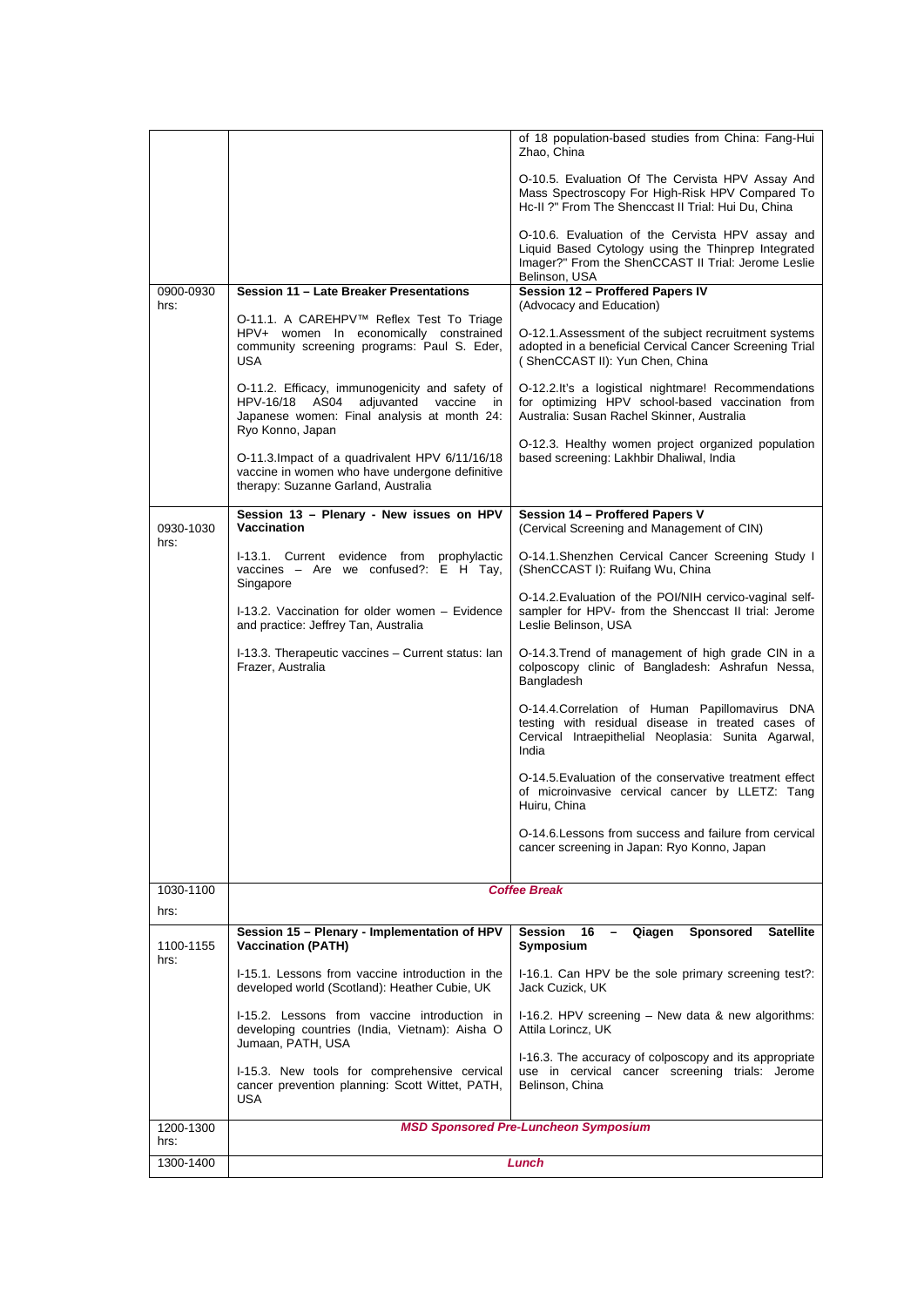|                   |                                                                                                                                                                    | of 18 population-based studies from China: Fang-Hui<br>Zhao, China                                                                                                              |  |  |
|-------------------|--------------------------------------------------------------------------------------------------------------------------------------------------------------------|---------------------------------------------------------------------------------------------------------------------------------------------------------------------------------|--|--|
|                   |                                                                                                                                                                    | O-10.5. Evaluation Of The Cervista HPV Assay And<br>Mass Spectroscopy For High-Risk HPV Compared To<br>Hc-II ?" From The Shenccast II Trial: Hui Du, China                      |  |  |
|                   |                                                                                                                                                                    | O-10.6. Evaluation of the Cervista HPV assay and<br>Liquid Based Cytology using the Thinprep Integrated<br>Imager?" From the ShenCCAST II Trial: Jerome Leslie<br>Belinson, USA |  |  |
| 0900-0930         | Session 11 - Late Breaker Presentations                                                                                                                            | Session 12 - Proffered Papers IV                                                                                                                                                |  |  |
| hrs:              | O-11.1. A CAREHPV™ Reflex Test To Triage                                                                                                                           | (Advocacy and Education)                                                                                                                                                        |  |  |
|                   | HPV+ women In economically constrained<br>community screening programs: Paul S. Eder,<br><b>USA</b>                                                                | O-12.1. Assessment of the subject recruitment systems<br>adopted in a beneficial Cervical Cancer Screening Trial<br>(ShenCCAST II): Yun Chen, China                             |  |  |
|                   | O-11.2. Efficacy, immunogenicity and safety of<br>HPV-16/18 AS04<br>adjuvanted<br>vaccine<br>in<br>Japanese women: Final analysis at month 24:<br>Ryo Konno, Japan | O-12.2.It's a logistical nightmare! Recommendations<br>for optimizing HPV school-based vaccination from<br>Australia: Susan Rachel Skinner, Australia                           |  |  |
|                   | O-11.3. Impact of a quadrivalent HPV 6/11/16/18<br>vaccine in women who have undergone definitive<br>therapy: Suzanne Garland, Australia                           | O-12.3. Healthy women project organized population<br>based screening: Lakhbir Dhaliwal, India                                                                                  |  |  |
|                   |                                                                                                                                                                    |                                                                                                                                                                                 |  |  |
| 0930-1030<br>hrs: | Session 13 - Plenary - New issues on HPV<br><b>Vaccination</b>                                                                                                     | Session 14 - Proffered Papers V<br>(Cervical Screening and Management of CIN)                                                                                                   |  |  |
|                   | I-13.1. Current evidence from prophylactic<br>vaccines - Are we confused?: $E$ H Tay,<br>Singapore                                                                 | O-14.1. Shenzhen Cervical Cancer Screening Study I<br>(ShenCCAST I): Ruifang Wu, China                                                                                          |  |  |
|                   | I-13.2. Vaccination for older women - Evidence<br>and practice: Jeffrey Tan, Australia                                                                             | O-14.2. Evaluation of the POI/NIH cervico-vaginal self-<br>sampler for HPV- from the Shenccast II trial: Jerome<br>Leslie Belinson, USA                                         |  |  |
|                   | I-13.3. Therapeutic vaccines - Current status: Ian<br>Frazer, Australia                                                                                            | O-14.3. Trend of management of high grade CIN in a<br>colposcopy clinic of Bangladesh: Ashrafun Nessa,<br>Bangladesh                                                            |  |  |
|                   |                                                                                                                                                                    | O-14.4. Correlation of Human Papillomavirus DNA<br>testing with residual disease in treated cases of<br>Cervical Intraepithelial Neoplasia: Sunita Agarwal,<br>India            |  |  |
|                   |                                                                                                                                                                    | O-14.5. Evaluation of the conservative treatment effect<br>of microinvasive cervical cancer by LLETZ: Tang<br>Huiru, China                                                      |  |  |
|                   |                                                                                                                                                                    | O-14.6. Lessons from success and failure from cervical<br>cancer screening in Japan: Ryo Konno, Japan                                                                           |  |  |
| 1030-1100         |                                                                                                                                                                    | <b>Coffee Break</b>                                                                                                                                                             |  |  |
| hrs:              |                                                                                                                                                                    |                                                                                                                                                                                 |  |  |
| 1100-1155<br>hrs: | Session 15 - Plenary - Implementation of HPV<br><b>Vaccination (PATH)</b>                                                                                          | Session<br>16<br>Qiagen<br><b>Sponsored</b><br><b>Satellite</b><br>Symposium                                                                                                    |  |  |
|                   | I-15.1. Lessons from vaccine introduction in the<br>developed world (Scotland): Heather Cubie, UK                                                                  | I-16.1. Can HPV be the sole primary screening test?:<br>Jack Cuzick, UK                                                                                                         |  |  |
|                   | I-15.2. Lessons from vaccine introduction in<br>developing countries (India, Vietnam): Aisha O<br>Jumaan, PATH, USA                                                | I-16.2. HPV screening - New data & new algorithms:<br>Attila Lorincz, UK                                                                                                        |  |  |
|                   | I-15.3. New tools for comprehensive cervical<br>cancer prevention planning: Scott Wittet, PATH,<br>USA                                                             | I-16.3. The accuracy of colposcopy and its appropriate<br>use in cervical cancer screening trials: Jerome<br>Belinson, China                                                    |  |  |
| 1200-1300         |                                                                                                                                                                    | <b>MSD Sponsored Pre-Luncheon Symposium</b>                                                                                                                                     |  |  |
| hrs:              |                                                                                                                                                                    |                                                                                                                                                                                 |  |  |
| 1300-1400         |                                                                                                                                                                    | Lunch                                                                                                                                                                           |  |  |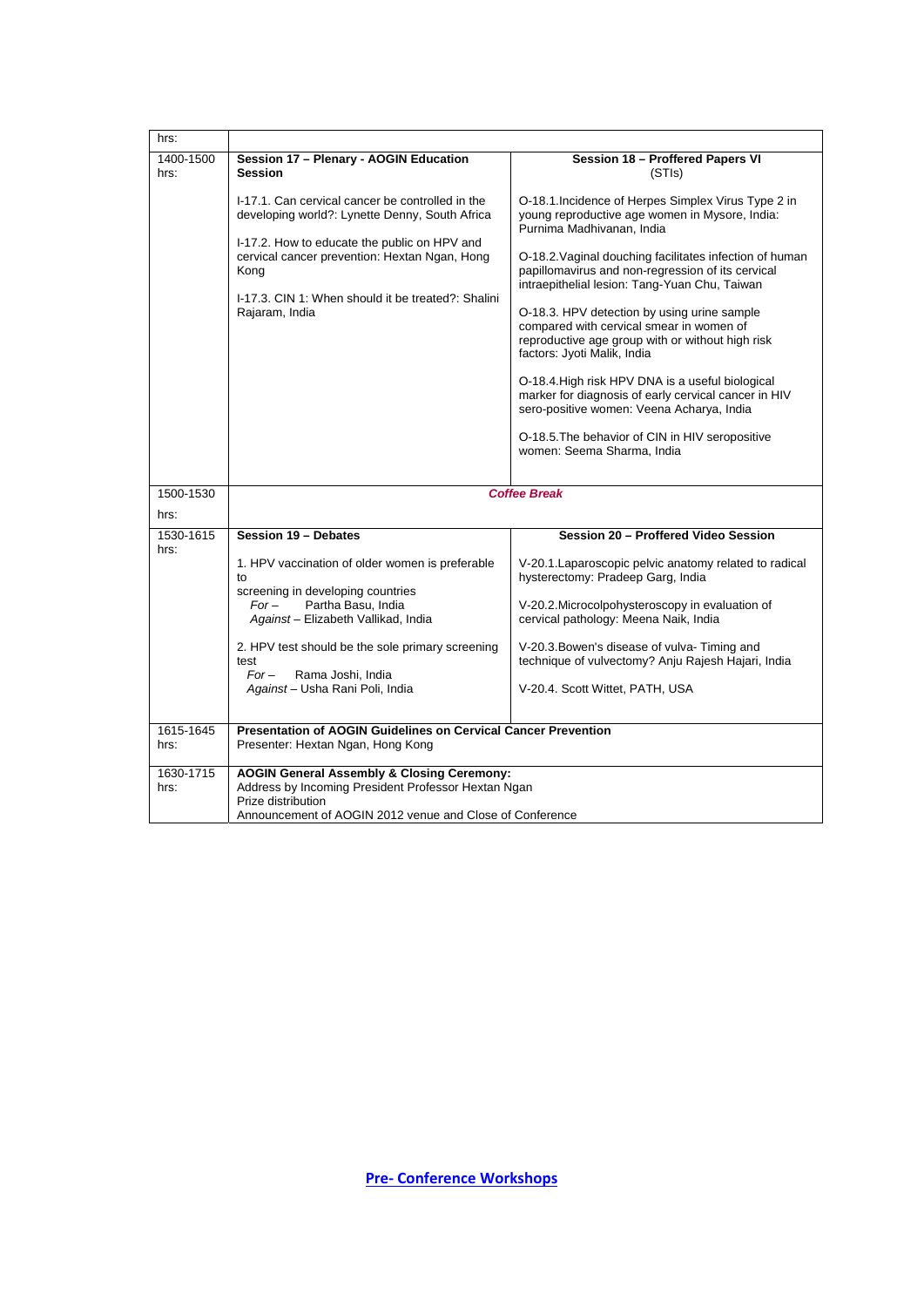| hrs:              |                                                                                                                                                                                                                                                                                     |                                                                                                                                                                                                                                                                                                                                                                                                                                                                                                                                                                                                                                                                                               |  |
|-------------------|-------------------------------------------------------------------------------------------------------------------------------------------------------------------------------------------------------------------------------------------------------------------------------------|-----------------------------------------------------------------------------------------------------------------------------------------------------------------------------------------------------------------------------------------------------------------------------------------------------------------------------------------------------------------------------------------------------------------------------------------------------------------------------------------------------------------------------------------------------------------------------------------------------------------------------------------------------------------------------------------------|--|
| 1400-1500<br>hrs: | Session 17 - Plenary - AOGIN Education<br>Session 18 - Proffered Papers VI<br><b>Session</b><br>(STIs)                                                                                                                                                                              |                                                                                                                                                                                                                                                                                                                                                                                                                                                                                                                                                                                                                                                                                               |  |
|                   | I-17.1. Can cervical cancer be controlled in the<br>developing world?: Lynette Denny, South Africa<br>I-17.2. How to educate the public on HPV and<br>cervical cancer prevention: Hextan Ngan, Hong<br>Kong<br>I-17.3. CIN 1: When should it be treated?: Shalini<br>Rajaram, India | O-18.1. Incidence of Herpes Simplex Virus Type 2 in<br>young reproductive age women in Mysore, India:<br>Purnima Madhivanan, India<br>O-18.2. Vaginal douching facilitates infection of human<br>papillomavirus and non-regression of its cervical<br>intraepithelial lesion: Tang-Yuan Chu, Taiwan<br>O-18.3. HPV detection by using urine sample<br>compared with cervical smear in women of<br>reproductive age group with or without high risk<br>factors: Jyoti Malik, India<br>O-18.4. High risk HPV DNA is a useful biological<br>marker for diagnosis of early cervical cancer in HIV<br>sero-positive women: Veena Acharya, India<br>O-18.5. The behavior of CIN in HIV seropositive |  |
|                   |                                                                                                                                                                                                                                                                                     | women: Seema Sharma, India                                                                                                                                                                                                                                                                                                                                                                                                                                                                                                                                                                                                                                                                    |  |
|                   |                                                                                                                                                                                                                                                                                     |                                                                                                                                                                                                                                                                                                                                                                                                                                                                                                                                                                                                                                                                                               |  |
| 1500-1530         | <b>Coffee Break</b>                                                                                                                                                                                                                                                                 |                                                                                                                                                                                                                                                                                                                                                                                                                                                                                                                                                                                                                                                                                               |  |
| hrs:              |                                                                                                                                                                                                                                                                                     |                                                                                                                                                                                                                                                                                                                                                                                                                                                                                                                                                                                                                                                                                               |  |
| 1530-1615<br>hrs: | Session 19 - Debates                                                                                                                                                                                                                                                                | Session 20 - Proffered Video Session                                                                                                                                                                                                                                                                                                                                                                                                                                                                                                                                                                                                                                                          |  |
|                   | 1. HPV vaccination of older women is preferable<br>to                                                                                                                                                                                                                               | V-20.1. Laparoscopic pelvic anatomy related to radical<br>hysterectomy: Pradeep Garg, India                                                                                                                                                                                                                                                                                                                                                                                                                                                                                                                                                                                                   |  |
|                   | screening in developing countries<br>$For-$<br>Partha Basu, India<br>Against - Elizabeth Vallikad, India                                                                                                                                                                            | V-20.2. Microcolpohysteroscopy in evaluation of<br>cervical pathology: Meena Naik, India                                                                                                                                                                                                                                                                                                                                                                                                                                                                                                                                                                                                      |  |
|                   | 2. HPV test should be the sole primary screening<br>test<br>$For-$<br>Rama Joshi, India                                                                                                                                                                                             | V-20.3. Bowen's disease of vulva-Timing and<br>technique of vulvectomy? Anju Rajesh Hajari, India                                                                                                                                                                                                                                                                                                                                                                                                                                                                                                                                                                                             |  |
|                   | Against - Usha Rani Poli, India                                                                                                                                                                                                                                                     | V-20.4. Scott Wittet, PATH, USA                                                                                                                                                                                                                                                                                                                                                                                                                                                                                                                                                                                                                                                               |  |
| 1615-1645         | <b>Presentation of AOGIN Guidelines on Cervical Cancer Prevention</b>                                                                                                                                                                                                               |                                                                                                                                                                                                                                                                                                                                                                                                                                                                                                                                                                                                                                                                                               |  |
| hrs:              | Presenter: Hextan Ngan, Hong Kong                                                                                                                                                                                                                                                   |                                                                                                                                                                                                                                                                                                                                                                                                                                                                                                                                                                                                                                                                                               |  |
| 1630-1715<br>hrs: | <b>AOGIN General Assembly &amp; Closing Ceremony:</b><br>Address by Incoming President Professor Hextan Ngan<br>Prize distribution<br>Announcement of AOGIN 2012 venue and Close of Conference                                                                                      |                                                                                                                                                                                                                                                                                                                                                                                                                                                                                                                                                                                                                                                                                               |  |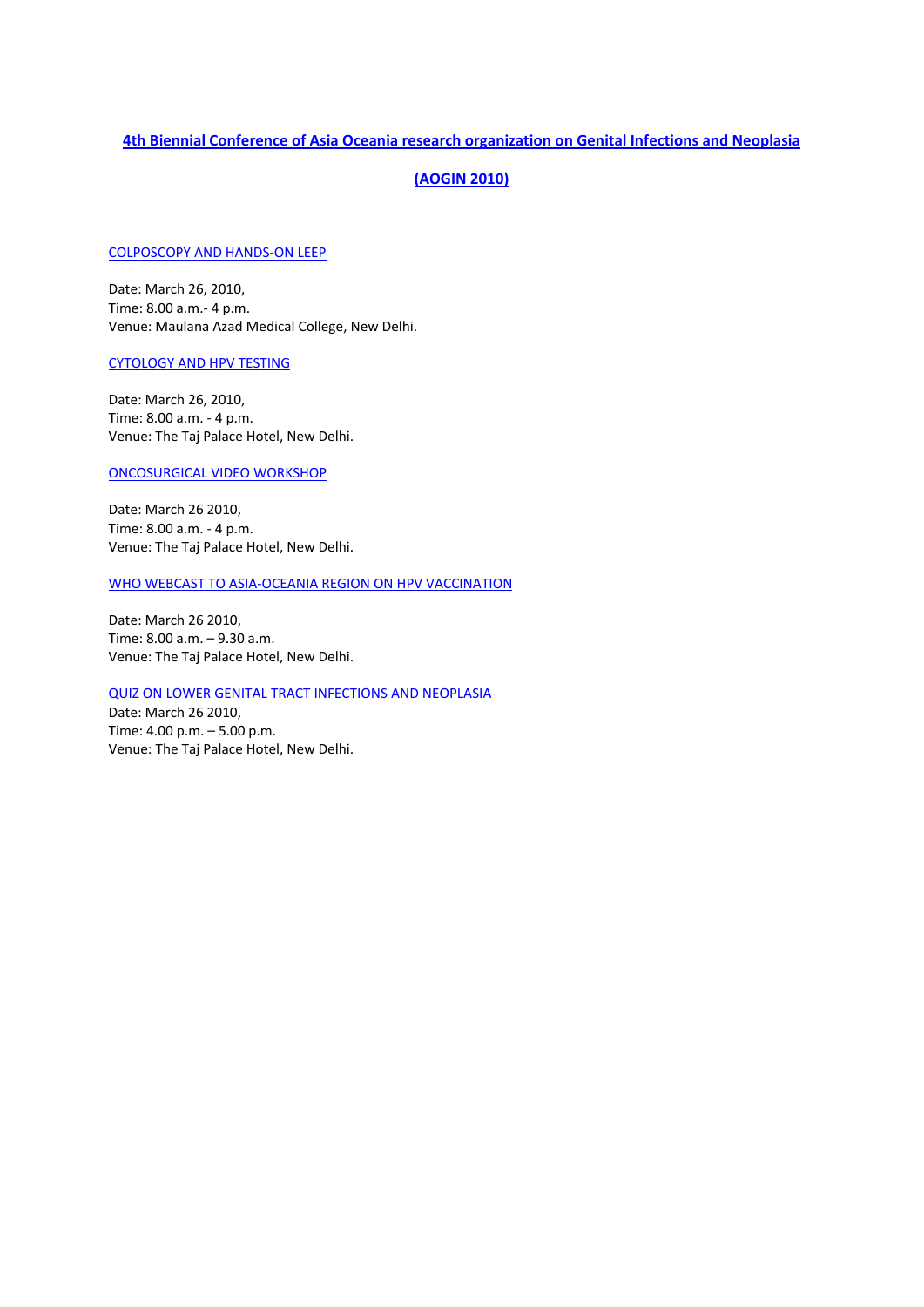## **4th Biennial Conference of Asia Oceania research organization on Genital Infections and Neoplasia**

# **(AOGIN 2010)**

## COLPOSCOPY AND HANDS‐ON LEEP

Date: March 26, 2010, Time: 8.00 a.m.‐ 4 p.m. Venue: Maulana Azad Medical College, New Delhi.

## CYTOLOGY AND HPV TESTING

Date: March 26, 2010, Time: 8.00 a.m. ‐ 4 p.m. Venue: The Taj Palace Hotel, New Delhi.

## ONCOSURGICAL VIDEO WORKSHOP

Date: March 26 2010, Time: 8.00 a.m. ‐ 4 p.m. Venue: The Taj Palace Hotel, New Delhi.

## WHO WEBCAST TO ASIA‐OCEANIA REGION ON HPV VACCINATION

Date: March 26 2010, Time: 8.00 a.m. – 9.30 a.m. Venue: The Taj Palace Hotel, New Delhi.

## QUIZ ON LOWER GENITAL TRACT INFECTIONS AND NEOPLASIA

Date: March 26 2010, Time: 4.00 p.m. – 5.00 p.m. Venue: The Taj Palace Hotel, New Delhi.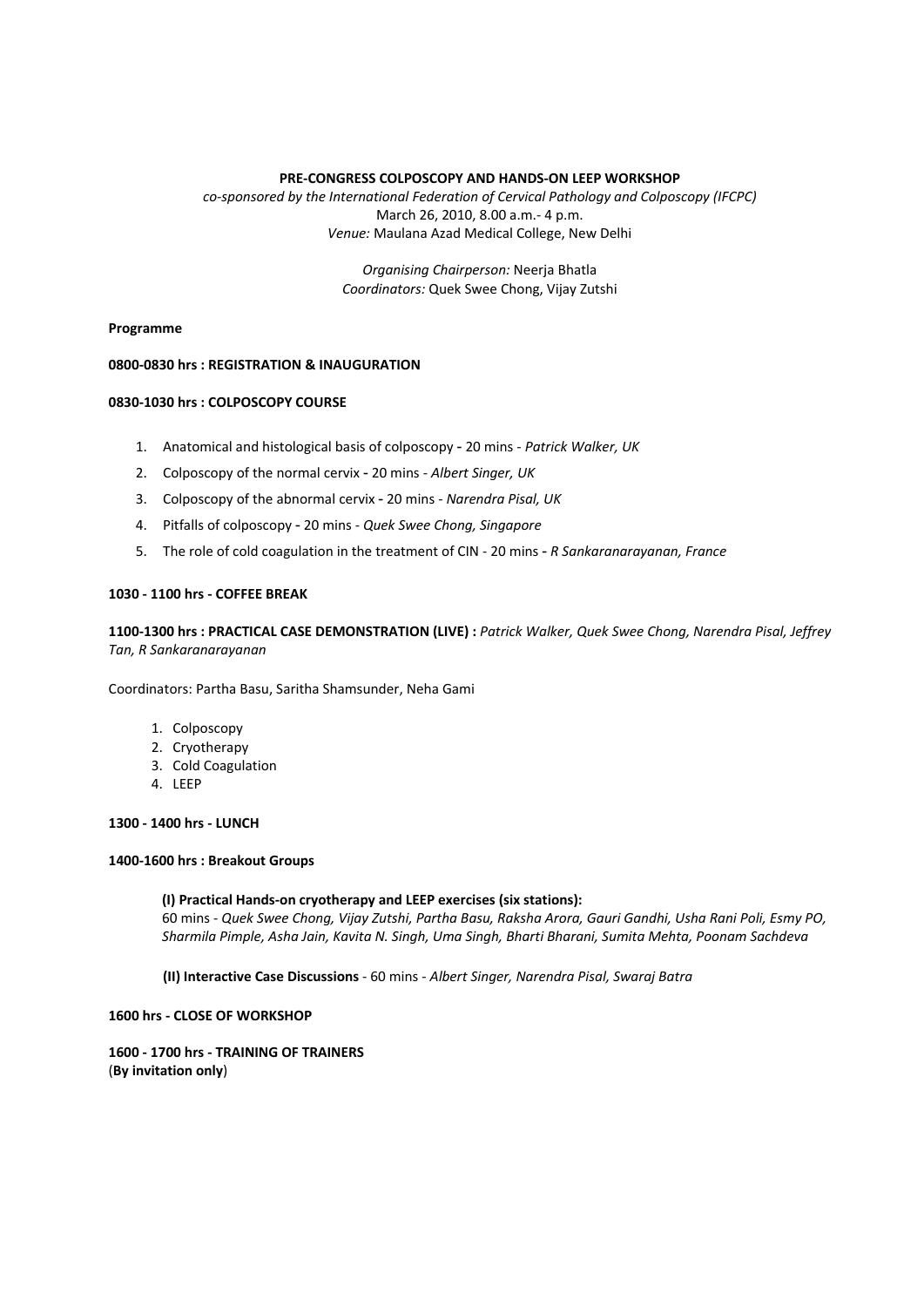## **PRE‐CONGRESS COLPOSCOPY AND HANDS‐ON LEEP WORKSHOP**

*co‐sponsored by the International Federation of Cervical Pathology and Colposcopy (IFCPC)* March 26, 2010, 8.00 a.m.‐ 4 p.m. *Venue:* Maulana Azad Medical College, New Delhi

> *Organising Chairperson:* Neerja Bhatla *Coordinators:* Quek Swee Chong, Vijay Zutshi

### **Programme**

### **0800‐0830 hrs : REGISTRATION & INAUGURATION**

### **0830‐1030 hrs : COLPOSCOPY COURSE**

- 1. Anatomical and histological basis of colposcopy 20 mins ‐ *Patrick Walker, UK*
- 2. Colposcopy of the normal cervix 20 mins ‐ *Albert Singer, UK*
- 3. Colposcopy of the abnormal cervix 20 mins ‐ *Narendra Pisal, UK*
- 4. Pitfalls of colposcopy 20 mins ‐ *Quek Swee Chong, Singapore*
- 5. The role of cold coagulation in the treatment of CIN ‐ 20 mins *R Sankaranarayanan, France*

### **1030 ‐ 1100 hrs ‐ COFFEE BREAK**

1100-1300 hrs: PRACTICAL CASE DEMONSTRATION (LIVE): Patrick Walker, Quek Swee Chong, Narendra Pisal, Jeffrey *Tan, R Sankaranarayanan*

Coordinators: Partha Basu, Saritha Shamsunder, Neha Gami

- 1. Colposcopy
- 2. Cryotherapy
- 3. Cold Coagulation
- 4. LEEP

## **1300 ‐ 1400 hrs ‐ LUNCH**

#### **1400‐1600 hrs : Breakout Groups**

#### **(I) Practical Hands‐on cryotherapy and LEEP exercises (six stations):**

60 mins ‐ *Quek Swee Chong, Vijay Zutshi, Partha Basu, Raksha Arora, Gauri Gandhi, Usha Rani Poli, Esmy PO, Sharmila Pimple, Asha Jain, Kavita N. Singh, Uma Singh, Bharti Bharani, Sumita Mehta, Poonam Sachdeva* 

**(II) Interactive Case Discussions** ‐ 60 mins ‐ *Albert Singer, Narendra Pisal, Swaraj Batra*

### **1600 hrs ‐ CLOSE OF WORKSHOP**

## **1600 ‐ 1700 hrs ‐ TRAINING OF TRAINERS** (**By invitation only**)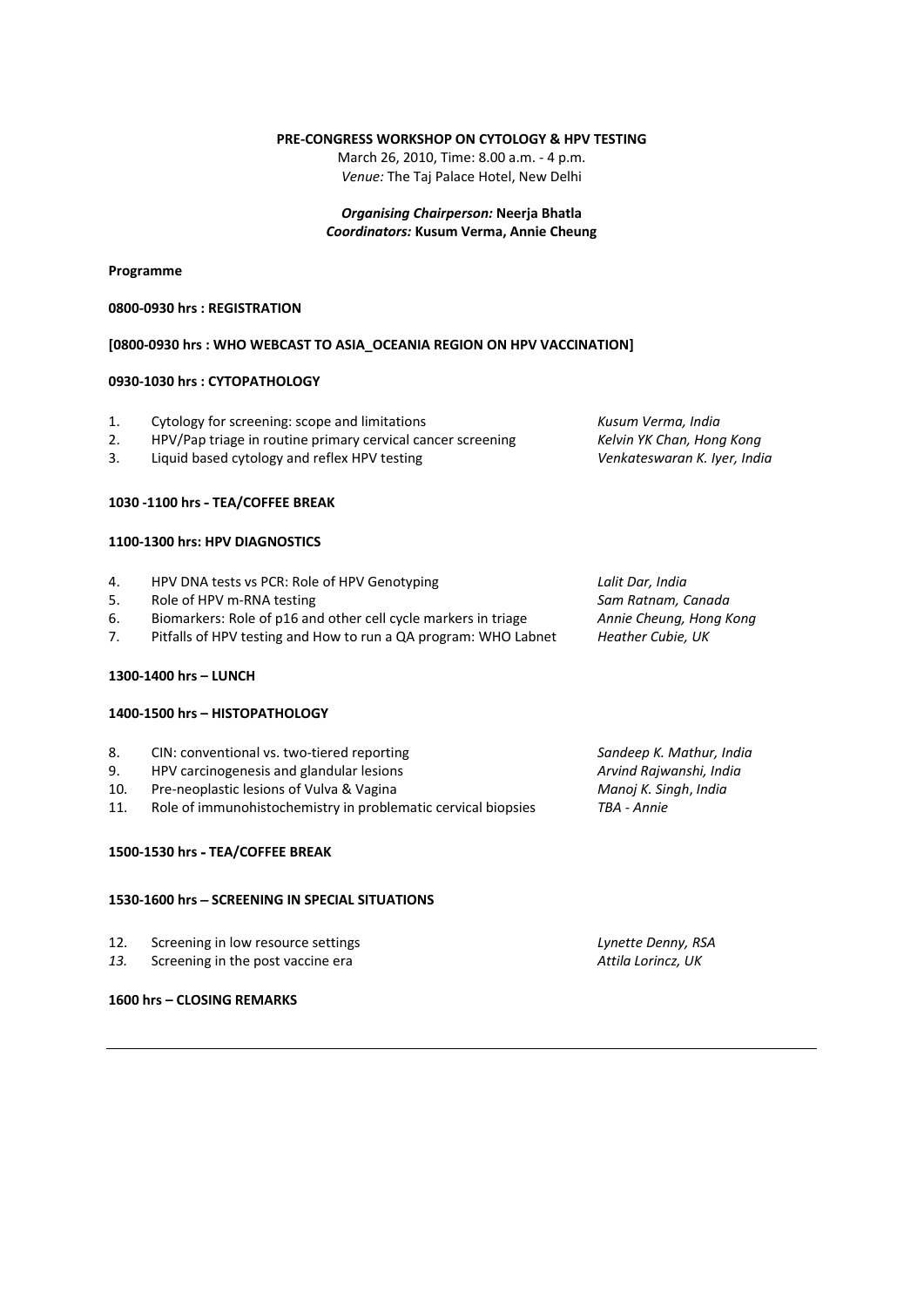## **PRE‐CONGRESS WORKSHOP ON CYTOLOGY & HPV TESTING**

March 26, 2010, Time: 8.00 a.m. ‐ 4 p.m. *Venue:* The Taj Palace Hotel, New Delhi

*Organising Chairperson:* **Neerja Bhatla** *Coordinators:* **Kusum Verma, Annie Cheung**

## **Programme**

### **0800‐0930 hrs : REGISTRATION**

## **[0800‐0930 hrs : WHO WEBCAST TO ASIA\_OCEANIA REGION ON HPV VACCINATION]**

## **0930‐1030 hrs : CYTOPATHOLOGY**

| 1. | Cytology for screening: scope and limitations                   | Kusum Verma, India           |
|----|-----------------------------------------------------------------|------------------------------|
| 2. | HPV/Pap triage in routine primary cervical cancer screening     | Kelvin YK Chan, Hong Kong    |
| 3. | Liquid based cytology and reflex HPV testing                    | Venkateswaran K. Iyer, India |
|    | 1030 -1100 hrs - TEA/COFFEE BREAK                               |                              |
|    | 1100-1300 hrs: HPV DIAGNOSTICS                                  |                              |
| 4. | HPV DNA tests vs PCR: Role of HPV Genotyping                    | Lalit Dar, India             |
| 5. | Role of HPV m-RNA testing                                       | Sam Ratnam, Canada           |
| 6. | Biomarkers: Role of p16 and other cell cycle markers in triage  | Annie Cheung, Hong Kong      |
| 7. | Pitfalls of HPV testing and How to run a QA program: WHO Labnet | Heather Cubie, UK            |
|    | 1300-1400 hrs - LUNCH                                           |                              |
|    | 1400-1500 hrs - HISTOPATHOLOGY                                  |                              |

| 8.  | CIN: conventional vs. two-tiered reporting                    | Sandeep K. Mathur, India |
|-----|---------------------------------------------------------------|--------------------------|
| 9.  | HPV carcinogenesis and glandular lesions                      | Arvind Rajwanshi, India  |
| 10. | Pre-neoplastic lesions of Vulva & Vagina                      | Manoj K. Singh, India    |
| 11. | Role of immunohistochemistry in problematic cervical biopsies | TBA - Annie              |
|     |                                                               |                          |

### **1500‐1530 hrs** - **TEA/COFFEE BREAK**

## **1530‐1600 hrs** – **SCREENING IN SPECIAL SITUATIONS**

| 12. | Screening in low resource settings |  |
|-----|------------------------------------|--|
|-----|------------------------------------|--|

*13.* Screening in the post vaccine era *Attila Lorincz, UK*

### **1600 hrs – CLOSING REMARKS**

12. Screening in low resource settings *Lynette Denny, RSA*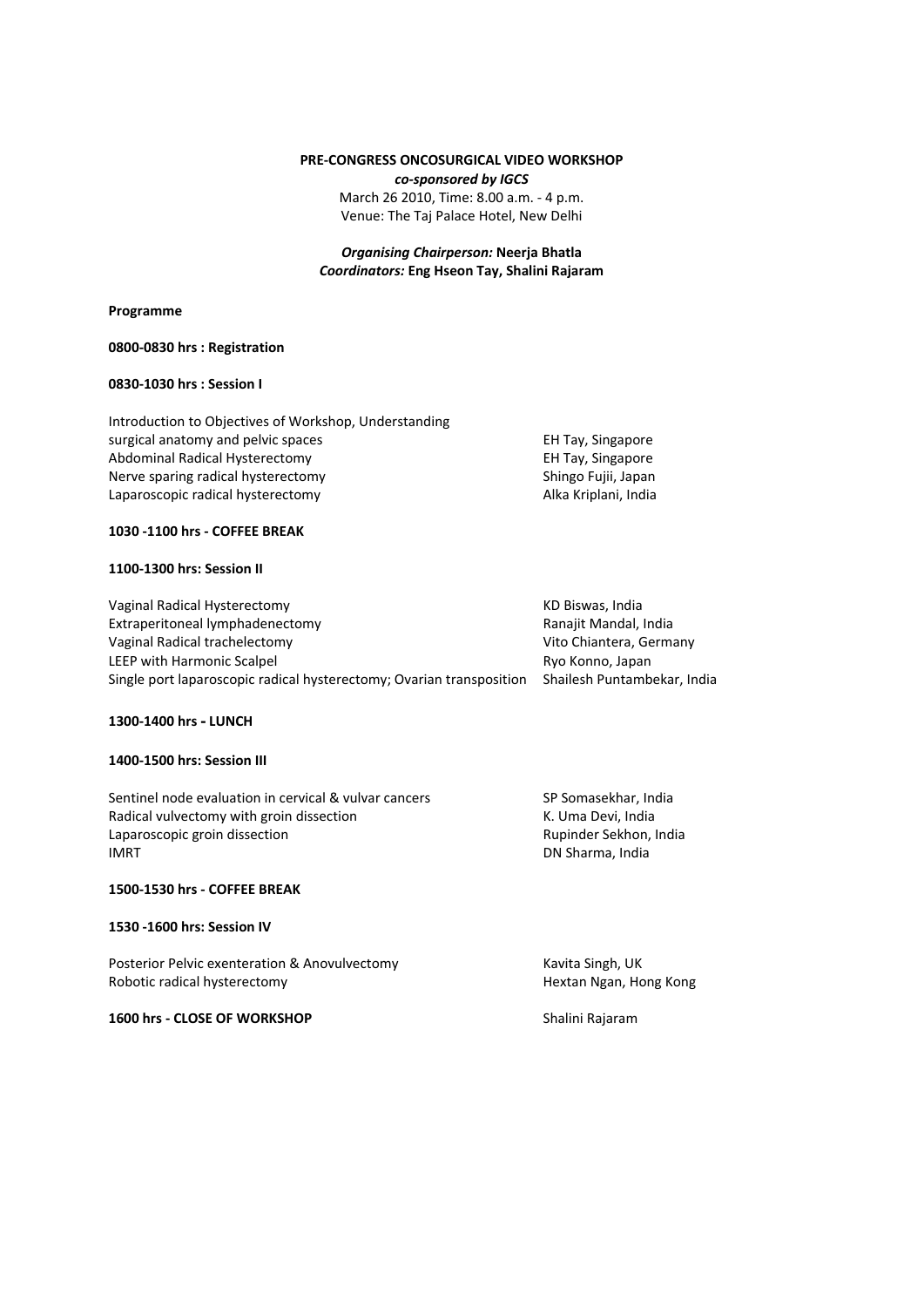## **PRE‐CONGRESS ONCOSURGICAL VIDEO WORKSHOP** *co‐sponsored by IGCS* March 26 2010, Time: 8.00 a.m. ‐ 4 p.m. Venue: The Taj Palace Hotel, New Delhi

## *Organising Chairperson:* **Neerja Bhatla** *Coordinators:* **Eng Hseon Tay, Shalini Rajaram**

#### **Programme**

### **0800‐0830 hrs : Registration**

## **0830‐1030 hrs : Session I**

Introduction to Objectives of Workshop, Understanding surgical anatomy and pelvic spaces **Solution Contains and Solution Container EH Tay, Singapore EH** Tay, Singapore Abdominal Radical Hysterectomy **Bank Communist Communist Communist Communist Communist Communist Communist Communist Communist Communist Communist Communist Communist Communist Communist Communist Communist Communist Commu** Nerve sparing radical hysterectomy **Shingo Fujii, Japan** Shingo Fujii, Japan Laparoscopic radical hysterectomy **and a struck and a matter of the Calcul** Alka Kriplani, India

### **1030 ‐1100 hrs ‐ COFFEE BREAK**

### **1100‐1300 hrs: Session II**

Vaginal Radical Hysterectomy **Same Communist Communist Communist Communist Communist Communist Communist Communist Communist Communist Communist Communist Communist Communist Communist Communist Communist Communist Communi** Extraperitoneal lymphadenectomy Ranajit Mandal, India Vaginal Radical trachelectomy Vito Chiantera, Germany LEEP with Harmonic Scalpel **EXACTE 10** and the Ryo Konno, Japan Single port laparoscopic radical hysterectomy; Ovarian transposition Shailesh Puntambekar, India

## **1300‐1400 hrs** - **LUNCH**

## **1400‐1500 hrs: Session III**

Sentinel node evaluation in cervical & vulvar cancers SP Somasekhar, India Radical vulvectomy with groin dissection **and a state of the CO** K. Uma Devi, India Laparoscopic groin dissection **by the contract of the Capacite** Contract Rupinder Sekhon, India IMRT **IMRT IMPLIFICALLY IMPLIFICALLY DN Sharma, India** 

### **1500‐1530 hrs ‐ COFFEE BREAK**

### **1530 ‐1600 hrs: Session IV**

Posterior Pelvic exenteration & Anovulvectomy **Samual Singh, COVID-NOVER** Exercise X Kavita Singh, UK Robotic radical hysterectomy **Same Congress Congress Congress Congress** Hextan Ngan, Hong Kong

### **1600 hrs ‐ CLOSE OF WORKSHOP** Shalini Rajaram